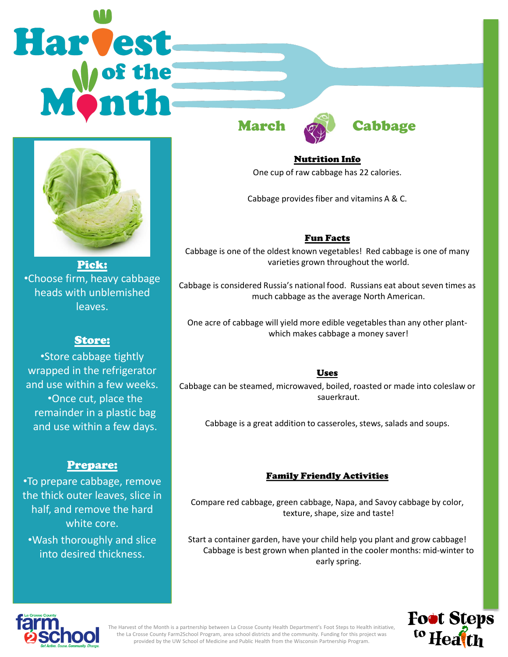# Harvest







Pick: •Choose firm, heavy cabbage heads with unblemished leaves.

# Store:

•Store cabbage tightly wrapped in the refrigerator and use within a few weeks. •Once cut, place the remainder in a plastic bag and use within a few days.

# Prepare:

•To prepare cabbage, remove the thick outer leaves, slice in half, and remove the hard white core. •Wash thoroughly and slice into desired thickness.

Nutrition Info

One cup of raw cabbage has 22 calories.

Cabbage provides fiber and vitamins A & C.

# Fun Facts

Cabbage is one of the oldest known vegetables! Red cabbage is one of many varieties grown throughout the world.

Cabbage is considered Russia's national food. Russians eat about seven times as much cabbage as the average North American.

One acre of cabbage will yield more edible vegetables than any other plantwhich makes cabbage a money saver!

### Uses

Cabbage can be steamed, microwaved, boiled, roasted or made into coleslaw or sauerkraut.

Cabbage is a great addition to casseroles, stews, salads and soups.

## Family Friendly Activities

Compare red cabbage, green cabbage, Napa, and Savoy cabbage by color, texture, shape, size and taste!

Start a container garden, have your child help you plant and grow cabbage! Cabbage is best grown when planted in the cooler months: mid-winter to early spring.